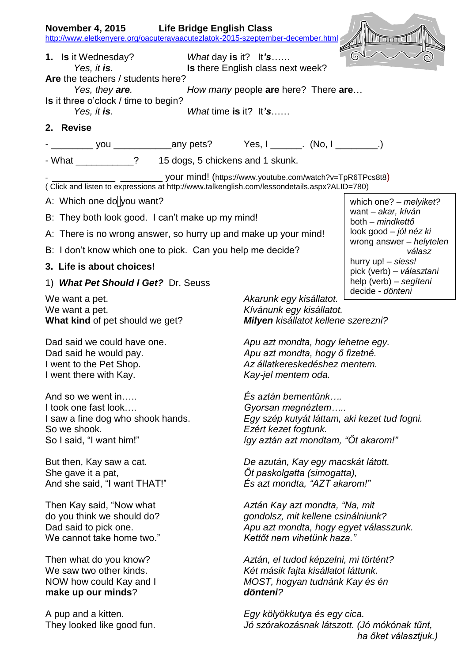| <b>November 4, 2015</b>                                         | <b>Life Bridge English Class</b>                                                            |
|-----------------------------------------------------------------|---------------------------------------------------------------------------------------------|
|                                                                 | http://www.eletkenyere.org/oacuteravaacutezlatok-2015-szeptember-december.html              |
| 1. Is it Wednesday?                                             | G<br>What day is it? $It's$                                                                 |
| Yes, it is.<br>Are the teachers / students here?                | Is there English class next week?                                                           |
| Yes, they are.                                                  | How many people are here? There are                                                         |
| <b>Is</b> it three o'clock / time to begin?<br>Yes, it is.      | What time is it? It's                                                                       |
| 2. Revise                                                       |                                                                                             |
|                                                                 |                                                                                             |
| - What ____________? 15 dogs, 5 chickens and 1 skunk.           |                                                                                             |
|                                                                 |                                                                                             |
|                                                                 | (Click and listen to expressions at http://www.talkenglish.com/lessondetails.aspx?ALID=780) |
| A: Which one do you want?                                       | which one? - melyiket?<br>want - akar, kíván                                                |
| B: They both look good. I can't make up my mind!                | both - mindkettő                                                                            |
| A: There is no wrong answer, so hurry up and make up your mind! | look good – jól néz ki<br>wrong answer - helytelen                                          |
| B: I don't know which one to pick. Can you help me decide?      | válasz                                                                                      |
| 3. Life is about choices!                                       | hurry up! - siess!<br>pick (verb) - választani                                              |
| 1) What Pet Should I Get? Dr. Seuss                             | help (verb) - segíteni<br>decide - dönteni                                                  |
| We want a pet.                                                  | Akarunk egy kisállatot.                                                                     |
| We want a pet.<br>What kind of pet should we get?               | Kívánunk egy kisállatot.<br>Milyen kisállatot kellene szerezni?                             |
|                                                                 |                                                                                             |
| Dad said we could have one.<br>Dad said he would pay.           | Apu azt mondta, hogy lehetne egy.<br>Apu azt mondta, hogy ő fizetné.                        |
| I went to the Pet Shop.                                         | Az állatkereskedéshez mentem.                                                               |
| I went there with Kay.                                          | Kay-jel mentem oda.                                                                         |
| And so we went in                                               | És aztán bementünk                                                                          |
| I took one fast look                                            | Gyorsan megnéztem                                                                           |
| I saw a fine dog who shook hands.                               | Egy szép kutyát láttam, aki kezet tud fogni.                                                |
| So we shook.<br>So I said, "I want him!"                        | Ezért kezet fogtunk.<br>így aztán azt mondtam, "Őt akarom!"                                 |
|                                                                 |                                                                                             |
| But then, Kay saw a cat.                                        | De azután, Kay egy macskát látott.                                                          |
| She gave it a pat,<br>And she said, "I want THAT!"              | Öt paskolgatta (simogatta),<br>Es azt mondta, "AZT akarom!"                                 |
|                                                                 |                                                                                             |
| Then Kay said, "Now what                                        | Aztán Kay azt mondta, "Na, mit                                                              |
| do you think we should do?<br>Dad said to pick one.             | gondolsz, mit kellene csinálniunk?<br>Apu azt mondta, hogy egyet válasszunk.                |
| We cannot take home two."                                       | Kettőt nem vihetünk haza."                                                                  |
| Then what do you know?                                          | Aztán, el tudod képzelni, mi történt?                                                       |
| We saw two other kinds.                                         | Két másik fajta kisállatot láttunk.                                                         |
| NOW how could Kay and I                                         | MOST, hogyan tudnánk Kay és én                                                              |
| make up our minds?                                              | dönteni?                                                                                    |
| A pup and a kitten.                                             | Egy kölyökkutya és egy cica.                                                                |
| They looked like good fun.                                      | Jó szórakozásnak látszott. (Jó mókónak tűnt,                                                |
|                                                                 | ha őket választjuk.)                                                                        |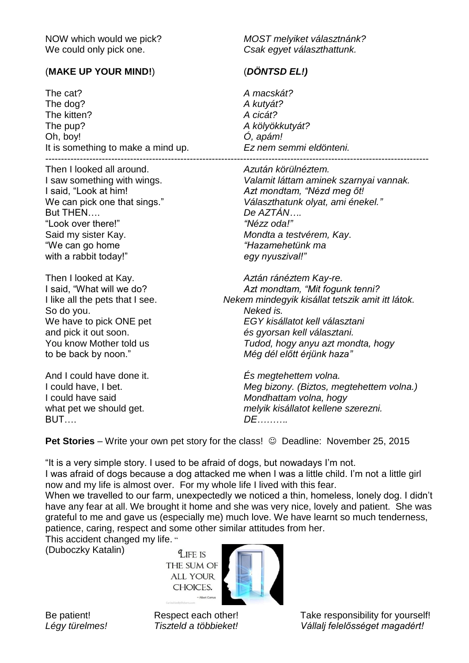We could only pick one. *Csak egyet választhattunk.*

## (**MAKE UP YOUR MIND!**) (*DÖNTSD EL!)*

The cat? *A macskát?* The dog? **A kutyát?**<br>
The kitten? **A cicát?** The kitten? The pup? *A kölyökkutyát?* Oh, boy! *Ó, apám!* It is something to make a mind up. *Ez nem semmi eldönteni.*  $-$ 

Then I looked all around. *Azután körülnéztem.* But THEN…. *De AZTÁN….* "Look over there!" *"Nézz oda!"* Said my sister Kay. *Mondta a testvérem, Kay*. "We can go home *"Hazamehetünk ma* with a rabbit today!" *egy nyuszival!"* 

So do you. *Neked is.*

And I could have done it. *És megtehettem volna.* BUT…. *DE……….*

NOW which would we pick? *MOST melyiket választnánk?*

I saw something with wings. *Valamit láttam aminek szarnyai vannak.* I said, "Look at him! *Azt mondtam, "Nézd meg őt!* We can pick one that sings." *Választhatunk olyat, ami énekel."*

Then I looked at Kay. *Aztán ránéztem Kay-re.* I said, "What will we do? *Azt mondtam, "Mit fogunk tenni?* I like all the pets that I see. *Nekem mindegyik kisállat tetszik amit itt látok.* We have to pick ONE pet *EGY kisállatot kell választani* and pick it out soon. *és gyorsan kell választani.* You know Mother told us *Tudod, hogy anyu azt mondta, hogy* to be back by noon." *Még dél előtt érjünk haza"*

I could have, I bet. *Meg bizony. (Biztos, megtehettem volna.)* I could have said *Mondhattam volna, hogy* what pet we should get. *melyik kisállatot kellene szerezni.*

**Pet Stories** – Write your own pet story for the class!  $\odot$  Deadline: November 25, 2015

"It is a very simple story. I used to be afraid of dogs, but nowadays I'm not.

I was afraid of dogs because a dog attacked me when I was a little child. I'm not a little girl now and my life is almost over. For my whole life I lived with this fear.

When we travelled to our farm, unexpectedly we noticed a thin, homeless, lonely dog. I didn't have any fear at all. We brought it home and she was very nice, lovely and patient. She was grateful to me and gave us (especially me) much love. We have learnt so much tenderness, patience, caring, respect and some other similar attitudes from her.

This accident changed my life. " (Duboczky Katalin)

LIFE IS THE SUM OF **ALL YOUR** CHOICES.



Be patient! Respect each other! Take responsibility for yourself! *Légy türelmes! Tiszteld a többieket! Vállalj felelősséget magadért!*